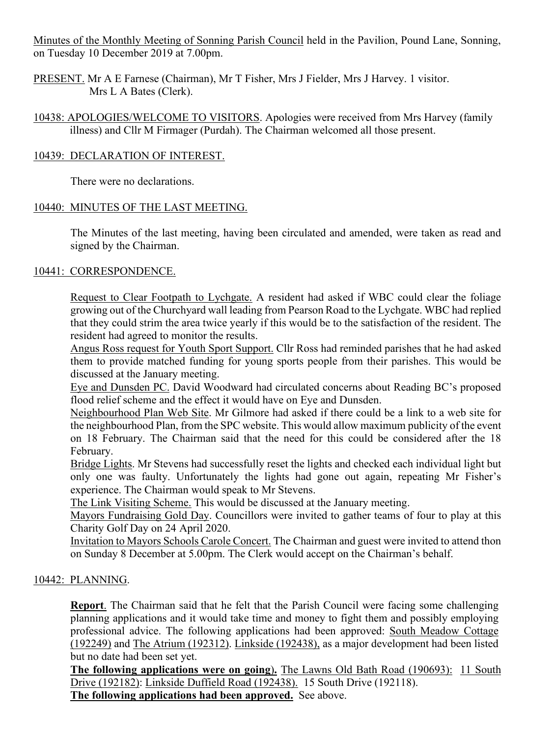Minutes of the Monthly Meeting of Sonning Parish Council held in the Pavilion, Pound Lane, Sonning, on Tuesday 10 December 2019 at 7.00pm.

PRESENT. Mr A E Farnese (Chairman), Mr T Fisher, Mrs J Fielder, Mrs J Harvey. 1 visitor. Mrs L A Bates (Clerk).

10438: APOLOGIES/WELCOME TO VISITORS. Apologies were received from Mrs Harvey (family illness) and Cllr M Firmager (Purdah). The Chairman welcomed all those present.

## 10439: DECLARATION OF INTEREST.

There were no declarations.

# 10440: MINUTES OF THE LAST MEETING.

The Minutes of the last meeting, having been circulated and amended, were taken as read and signed by the Chairman.

# 10441: CORRESPONDENCE.

Request to Clear Footpath to Lychgate. A resident had asked if WBC could clear the foliage growing out of the Churchyard wall leading from Pearson Road to the Lychgate. WBC had replied that they could strim the area twice yearly if this would be to the satisfaction of the resident. The resident had agreed to monitor the results.

Angus Ross request for Youth Sport Support. Cllr Ross had reminded parishes that he had asked them to provide matched funding for young sports people from their parishes. This would be discussed at the January meeting.

Eye and Dunsden PC. David Woodward had circulated concerns about Reading BC's proposed flood relief scheme and the effect it would have on Eye and Dunsden.

Neighbourhood Plan Web Site. Mr Gilmore had asked if there could be a link to a web site for the neighbourhood Plan, from the SPC website. This would allow maximum publicity of the event on 18 February. The Chairman said that the need for this could be considered after the 18 February.

Bridge Lights. Mr Stevens had successfully reset the lights and checked each individual light but only one was faulty. Unfortunately the lights had gone out again, repeating Mr Fisher's experience. The Chairman would speak to Mr Stevens.

The Link Visiting Scheme. This would be discussed at the January meeting.

Mayors Fundraising Gold Day. Councillors were invited to gather teams of four to play at this Charity Golf Day on 24 April 2020.

Invitation to Mayors Schools Carole Concert. The Chairman and guest were invited to attend thon on Sunday 8 December at 5.00pm. The Clerk would accept on the Chairman's behalf.

#### 10442: PLANNING.

**Report**. The Chairman said that he felt that the Parish Council were facing some challenging planning applications and it would take time and money to fight them and possibly employing professional advice. The following applications had been approved: South Meadow Cottage (192249) and The Atrium (192312). Linkside (192438), as a major development had been listed but no date had been set yet.

**The following applications were on going**)**.** The Lawns Old Bath Road (190693): 11 South Drive (192182): Linkside Duffield Road (192438). 15 South Drive (192118). **The following applications had been approved.** See above.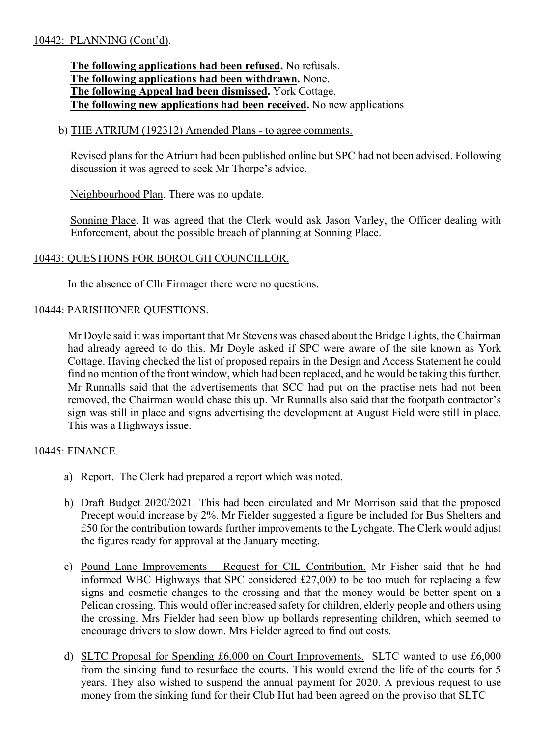## 10442: PLANNING (Cont'd).

**The following applications had been refused.** No refusals. **The following applications had been withdrawn.** None. **The following Appeal had been dismissed.** York Cottage. **The following new applications had been received.** No new applications

#### b) THE ATRIUM (192312) Amended Plans - to agree comments.

Revised plans for the Atrium had been published online but SPC had not been advised. Following discussion it was agreed to seek Mr Thorpe's advice.

Neighbourhood Plan. There was no update.

Sonning Place. It was agreed that the Clerk would ask Jason Varley, the Officer dealing with Enforcement, about the possible breach of planning at Sonning Place.

#### 10443: QUESTIONS FOR BOROUGH COUNCILLOR.

In the absence of Cllr Firmager there were no questions.

#### 10444: PARISHIONER QUESTIONS.

Mr Doyle said it was important that Mr Stevens was chased about the Bridge Lights, the Chairman had already agreed to do this. Mr Doyle asked if SPC were aware of the site known as York Cottage. Having checked the list of proposed repairs in the Design and Access Statement he could find no mention of the front window, which had been replaced, and he would be taking this further. Mr Runnalls said that the advertisements that SCC had put on the practise nets had not been removed, the Chairman would chase this up. Mr Runnalls also said that the footpath contractor's sign was still in place and signs advertising the development at August Field were still in place. This was a Highways issue.

#### 10445: FINANCE.

- a) Report. The Clerk had prepared a report which was noted.
- b) Draft Budget 2020/2021. This had been circulated and Mr Morrison said that the proposed Precept would increase by 2%. Mr Fielder suggested a figure be included for Bus Shelters and £50 for the contribution towards further improvements to the Lychgate. The Clerk would adjust the figures ready for approval at the January meeting.
- c) Pound Lane Improvements Request for CIL Contribution. Mr Fisher said that he had informed WBC Highways that SPC considered £27,000 to be too much for replacing a few signs and cosmetic changes to the crossing and that the money would be better spent on a Pelican crossing. This would offer increased safety for children, elderly people and others using the crossing. Mrs Fielder had seen blow up bollards representing children, which seemed to encourage drivers to slow down. Mrs Fielder agreed to find out costs.
- d) SLTC Proposal for Spending £6,000 on Court Improvements. SLTC wanted to use £6,000 from the sinking fund to resurface the courts. This would extend the life of the courts for 5 years. They also wished to suspend the annual payment for 2020. A previous request to use money from the sinking fund for their Club Hut had been agreed on the proviso that SLTC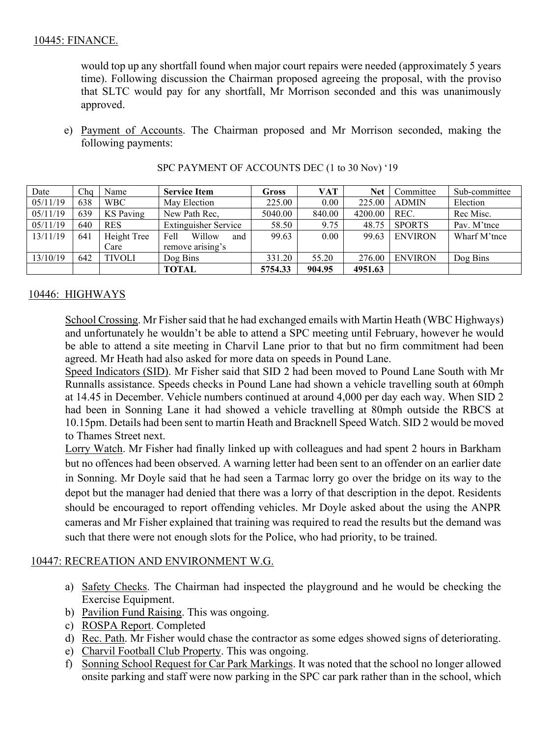would top up any shortfall found when major court repairs were needed (approximately 5 years time). Following discussion the Chairman proposed agreeing the proposal, with the proviso that SLTC would pay for any shortfall, Mr Morrison seconded and this was unanimously approved.

e) Payment of Accounts. The Chairman proposed and Mr Morrison seconded, making the following payments:

| Date     | Cha | Name             | <b>Service Item</b>         | Gross   | VAT    | <b>Net</b> | Committee      | Sub-committee |
|----------|-----|------------------|-----------------------------|---------|--------|------------|----------------|---------------|
| 05/11/19 | 638 | <b>WBC</b>       | May Election                | 225.00  | 0.00   | 225.00     | <b>ADMIN</b>   | Election      |
| 05/11/19 | 639 | <b>KS</b> Paving | New Path Rec.               | 5040.00 | 840.00 | 4200.00    | REC.           | Rec Misc.     |
| 05/11/19 | 640 | <b>RES</b>       | <b>Extinguisher Service</b> | 58.50   | 9.75   | 48.75      | <b>SPORTS</b>  | Pav. M'tnce   |
| 13/11/19 | 641 | Height Tree      | Willow<br>Fell<br>and       | 99.63   | 0.00   | 99.63      | <b>ENVIRON</b> | Wharf M'tnce  |
|          |     | Care             | remove arising's            |         |        |            |                |               |
| 13/10/19 | 642 | <b>TIVOLI</b>    | Dog Bins                    | 331.20  | 55.20  | 276.00     | <b>ENVIRON</b> | Dog Bins      |
|          |     |                  | <b>TOTAL</b>                | 5754.33 | 904.95 | 4951.63    |                |               |

| SPC PAYMENT OF ACCOUNTS DEC (1 to 30 Nov) '19 |  |
|-----------------------------------------------|--|
|-----------------------------------------------|--|

# 10446: HIGHWAYS

School Crossing. Mr Fisher said that he had exchanged emails with Martin Heath (WBC Highways) and unfortunately he wouldn't be able to attend a SPC meeting until February, however he would be able to attend a site meeting in Charvil Lane prior to that but no firm commitment had been agreed. Mr Heath had also asked for more data on speeds in Pound Lane.

Speed Indicators (SID). Mr Fisher said that SID 2 had been moved to Pound Lane South with Mr Runnalls assistance. Speeds checks in Pound Lane had shown a vehicle travelling south at 60mph at 14.45 in December. Vehicle numbers continued at around 4,000 per day each way. When SID 2 had been in Sonning Lane it had showed a vehicle travelling at 80mph outside the RBCS at 10.15pm. Details had been sent to martin Heath and Bracknell Speed Watch. SID 2 would be moved to Thames Street next.

Lorry Watch. Mr Fisher had finally linked up with colleagues and had spent 2 hours in Barkham but no offences had been observed. A warning letter had been sent to an offender on an earlier date in Sonning. Mr Doyle said that he had seen a Tarmac lorry go over the bridge on its way to the depot but the manager had denied that there was a lorry of that description in the depot. Residents should be encouraged to report offending vehicles. Mr Doyle asked about the using the ANPR cameras and Mr Fisher explained that training was required to read the results but the demand was such that there were not enough slots for the Police, who had priority, to be trained.

#### 10447: RECREATION AND ENVIRONMENT W.G.

- a) Safety Checks. The Chairman had inspected the playground and he would be checking the Exercise Equipment.
- b) Pavilion Fund Raising. This was ongoing.
- c) ROSPA Report. Completed
- d) Rec. Path. Mr Fisher would chase the contractor as some edges showed signs of deteriorating.
- e) Charvil Football Club Property. This was ongoing.
- f) Sonning School Request for Car Park Markings. It was noted that the school no longer allowed onsite parking and staff were now parking in the SPC car park rather than in the school, which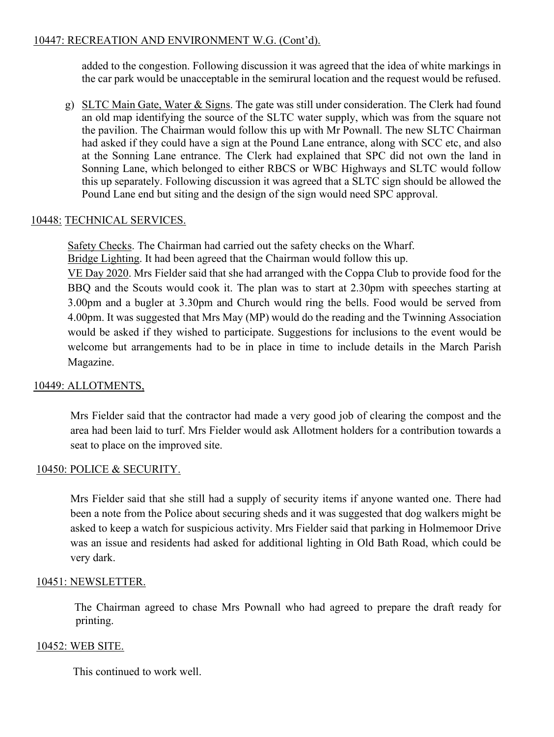### 10447: RECREATION AND ENVIRONMENT W.G. (Cont'd).

added to the congestion. Following discussion it was agreed that the idea of white markings in the car park would be unacceptable in the semirural location and the request would be refused.

g) SLTC Main Gate, Water & Signs. The gate was still under consideration. The Clerk had found an old map identifying the source of the SLTC water supply, which was from the square not the pavilion. The Chairman would follow this up with Mr Pownall. The new SLTC Chairman had asked if they could have a sign at the Pound Lane entrance, along with SCC etc, and also at the Sonning Lane entrance. The Clerk had explained that SPC did not own the land in Sonning Lane, which belonged to either RBCS or WBC Highways and SLTC would follow this up separately. Following discussion it was agreed that a SLTC sign should be allowed the Pound Lane end but siting and the design of the sign would need SPC approval.

# 10448: TECHNICAL SERVICES.

Safety Checks. The Chairman had carried out the safety checks on the Wharf.

Bridge Lighting. It had been agreed that the Chairman would follow this up.

VE Day 2020. Mrs Fielder said that she had arranged with the Coppa Club to provide food for the BBQ and the Scouts would cook it. The plan was to start at 2.30pm with speeches starting at 3.00pm and a bugler at 3.30pm and Church would ring the bells. Food would be served from 4.00pm. It was suggested that Mrs May (MP) would do the reading and the Twinning Association would be asked if they wished to participate. Suggestions for inclusions to the event would be welcome but arrangements had to be in place in time to include details in the March Parish Magazine.

#### 10449: ALLOTMENTS,

Mrs Fielder said that the contractor had made a very good job of clearing the compost and the area had been laid to turf. Mrs Fielder would ask Allotment holders for a contribution towards a seat to place on the improved site.

#### 10450: POLICE & SECURITY.

Mrs Fielder said that she still had a supply of security items if anyone wanted one. There had been a note from the Police about securing sheds and it was suggested that dog walkers might be asked to keep a watch for suspicious activity. Mrs Fielder said that parking in Holmemoor Drive was an issue and residents had asked for additional lighting in Old Bath Road, which could be very dark.

#### 10451: NEWSLETTER.

 The Chairman agreed to chase Mrs Pownall who had agreed to prepare the draft ready for printing.

#### 10452: WEB SITE.

This continued to work well.